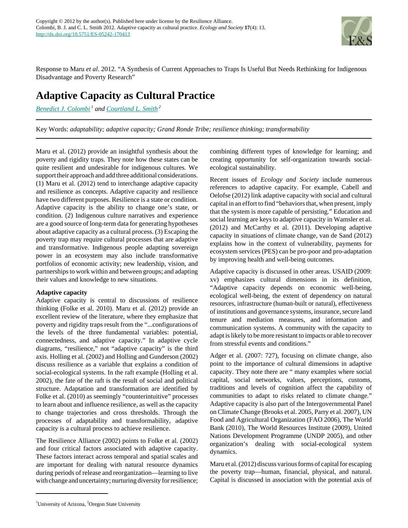

Response to Maru *et al*. 2012. "A Synthesis of Current Approaches to Traps Is Useful But Needs Rethinking for Indigenous Disadvantage and Poverty Research"

# **Adaptive Capacity as Cultural Practice**

*[Benedict J. Colombi](mailto:bcolombi@email.arizona.edu)<sup>1</sup> and [Courtland L. Smith](mailto:csmith@oregonstate.edu)<sup>2</sup>*

Key Words: *adaptability; adaptive capacity; Grand Ronde Tribe; resilience thinking; transformability*

Maru et al. (2012) provide an insightful synthesis about the poverty and rigidity traps. They note how these states can be quite resilient and undesirable for indigenous cultures. We support their approach and add three additional considerations. (1) Maru et al. (2012) tend to interchange adaptive capacity and resilience as concepts. Adaptive capacity and resilience have two different purposes. Resilience is a state or condition. Adaptive capacity is the ability to change one's state, or condition. (2) Indigenous culture narratives and experience are a good source of long-term data for generating hypotheses about adaptive capacity as a cultural process. (3) Escaping the poverty trap may require cultural processes that are adaptive and transformative. Indigenous people adapting sovereign power in an ecosystem may also include transformative portfolios of economic activity; new leadership, vision, and partnerships to work within and between groups; and adapting their values and knowledge to new situations.

# **Adaptive capacity**

Adaptive capacity is central to discussions of resilience thinking (Folke et al. 2010). Maru et al. (2012) provide an excellent review of the literature, where they emphasize that poverty and rigidity traps result from the "...configurations of the levels of the three fundamental variables: potential, connectedness, and adaptive capacity." In adaptive cycle diagrams, "resilience," not "adaptive capacity" is the third axis. Holling et al. (2002) and Holling and Gunderson (2002) discuss resilience as a variable that explains a condition of social-ecological systems. In the raft example (Holling et al. 2002), the fate of the raft is the result of social and political structure. Adaptation and transformation are identified by Folke et al. (2010) as seemingly "counterintuitive" processes to learn about and influence resilience, as well as the capacity to change trajectories and cross thresholds. Through the processes of adaptability and transformability, adaptive capacity is a cultural process to achieve resilience.

The Resilience Alliance (2002) points to Folke et al. (2002) and four critical factors associated with adaptive capacity. These factors interact across temporal and spatial scales and are important for dealing with natural resource dynamics during periods of release and reorganization—learning to live with change and uncertainty; nurturing diversity for resilience; combining different types of knowledge for learning; and creating opportunity for self-organization towards socialecological sustainability.

Recent issues of *Ecology and Society* include numerous references to adaptive capacity. For example, Cabell and Oelofse (2012) link adaptive capacity with social and cultural capital in an effort to find "behaviors that, when present, imply that the system is more capable of persisting." Education and social learning are keys to adaptive capacity in Wamsler et al. (2012) and McCarthy et al. (2011). Developing adaptive capacity in situations of climate change, van de Sand (2012) explains how in the context of vulnerability, payments for ecosystem services (PES) can be pro-poor and pro-adaptation by improving health and well-being outcomes.

Adaptive capacity is discussed in other areas. USAID (2009: xv) emphasizes cultural dimensions in its definition, "Adaptive capacity depends on economic well-being, ecological well-being, the extent of dependency on natural resources, infrastructure (human-built or natural), effectiveness of institutions and governance systems, insurance, secure land tenure and mediation measures, and information and communication systems. A community with the capacity to adapt is likely to be more resistant to impacts or able to recover from stressful events and conditions."

Adger et al. (2007: 727), focusing on climate change, also point to the importance of cultural dimensions in adaptive capacity. They note there are " many examples where social capital, social networks, values, perceptions, customs, traditions and levels of cognition affect the capability of communities to adapt to risks related to climate change." Adaptive capacity is also part of the Intergovernmental Panel on Climate Change (Brooks et al. 2005, Parry et al. 2007), UN Food and Agricultural Organization (FAO 2006), The World Bank (2010), The World Resources Institute (2009), United Nations Development Programme (UNDP 2005), and other organization's dealing with social-ecological system dynamics.

Maru et al. (2012) discuss various forms of capital for escaping the poverty trap—human, financial, physical, and natural. Capital is discussed in association with the potential axis of

<sup>&</sup>lt;sup>1</sup>University of Arizona,  ${}^{2}$ Oregon State University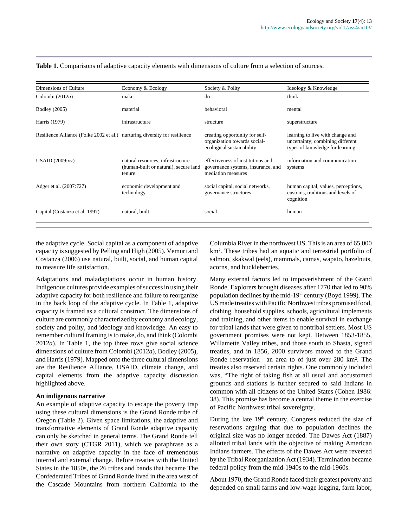| Dimensions of Culture                                                      | Economy & Ecology                                                                    | Society & Polity                                                                              | Ideology & Knowledge                                                                                    |
|----------------------------------------------------------------------------|--------------------------------------------------------------------------------------|-----------------------------------------------------------------------------------------------|---------------------------------------------------------------------------------------------------------|
| Colombi $(2012a)$                                                          | make                                                                                 | do                                                                                            | think                                                                                                   |
| <b>Bodley</b> (2005)                                                       | material                                                                             | behavioral                                                                                    | mental                                                                                                  |
| Harris (1979)                                                              | infrastructure                                                                       | structure                                                                                     | superstructure                                                                                          |
| Resilience Alliance (Folke 2002 et al.) nurturing diversity for resilience |                                                                                      | creating opportunity for self-<br>organization towards social-<br>ecological sustainability   | learning to live with change and<br>uncertainty; combining different<br>types of knowledge for learning |
| USAID $(2009:xv)$                                                          | natural resources, infrastructure<br>(human-built or natural), secure land<br>tenure | effectiveness of institutions and<br>governance systems, insurance, and<br>mediation measures | information and communication<br>systems                                                                |
| Adger et al. (2007:727)                                                    | economic development and<br>technology                                               | social capital, social networks,<br>governance structures                                     | human capital, values, perceptions,<br>customs, traditions and levels of<br>cognition                   |
| Capital (Costanza et al. 1997)                                             | natural, built                                                                       | social                                                                                        | human                                                                                                   |

#### **Table 1**. Comparisons of adaptive capacity elements with dimensions of culture from a selection of sources.

the adaptive cycle. Social capital as a component of adaptive capacity is suggested by Pelling and High (2005). Vemuri and Costanza (2006) use natural, built, social, and human capital to measure life satisfaction.

Adaptations and maladaptations occur in human history. Indigenous cultures provide examples of success in using their adaptive capacity for both resilience and failure to reorganize in the back loop of the adaptive cycle. In Table 1, adaptive capacity is framed as a cultural construct. The dimensions of culture are commonly characterized by economy and ecology, society and polity, and ideology and knowledge. An easy to remember cultural framing is to make, do, and think (Colombi 2012*a*). In Table 1, the top three rows give social science dimensions of culture from Colombi (2012*a*), Bodley (2005), and Harris (1979). Mapped onto the three cultural dimensions are the Resilience Alliance, USAID, climate change, and capital elements from the adaptive capacity discussion highlighted above.

## **An indigenous narrative**

An example of adaptive capacity to escape the poverty trap using these cultural dimensions is the Grand Ronde tribe of Oregon (Table 2). Given space limitations, the adaptive and transformative elements of Grand Ronde adaptive capacity can only be sketched in general terms. The Grand Ronde tell their own story (CTGR 2011), which we paraphrase as a narrative on adaptive capacity in the face of tremendous internal and external change. Before treaties with the United States in the 1850s, the 26 tribes and bands that became The Confederated Tribes of Grand Ronde lived in the area west of the Cascade Mountains from northern California to the Columbia River in the northwest US. This is an area of 65,000 km². These tribes had an aquatic and terrestrial portfolio of salmon, skakwal (eels), mammals, camas, wapato, hazelnuts, acorns, and huckleberries.

Many external factors led to impoverishment of the Grand Ronde. Explorers brought diseases after 1770 that led to 90% population declines by the mid-19<sup>th</sup> century (Boyd 1999). The US made treaties with Pacific Northwest tribes promised food, clothing, household supplies, schools, agricultural implements and training, and other items to enable survival in exchange for tribal lands that were given to nontribal settlers. Most US government promises were not kept. Between 1853-1855, Willamette Valley tribes, and those south to Shasta, signed treaties, and in 1856, 2000 survivors moved to the Grand Ronde reservation—an area to of just over 280 km². The treaties also reserved certain rights. One commonly included was, "The right of taking fish at all usual and accustomed grounds and stations is further secured to said Indians in common with all citizens of the United States (Cohen 1986: 38). This promise has become a central theme in the exercise of Pacific Northwest tribal sovereignty.

During the late  $19<sup>th</sup>$  century, Congress reduced the size of reservations arguing that due to population declines the original size was no longer needed. The Dawes Act (1887) allotted tribal lands with the objective of making American Indians farmers. The effects of the Dawes Act were reversed by the Tribal Reorganization Act (1934). Termination became federal policy from the mid-1940s to the mid-1960s.

About 1970, the Grand Ronde faced their greatest poverty and depended on small farms and low-wage logging, farm labor,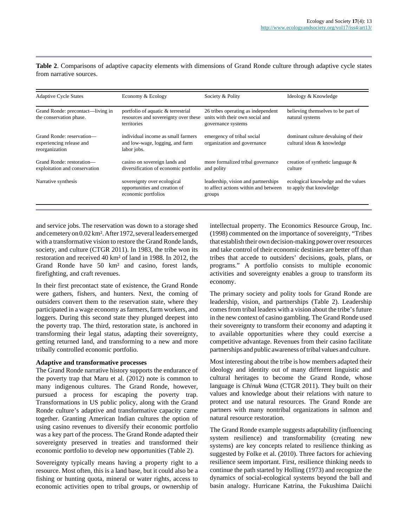**Table 2**. Comparisons of adaptive capacity elements with dimensions of Grand Ronde culture through adaptive cycle states from narrative sources.

| <b>Adaptive Cycle States</b>                                            | Economy & Ecology                                                                                | Society & Polity                                                                            | Ideology & Knowledge                                              |
|-------------------------------------------------------------------------|--------------------------------------------------------------------------------------------------|---------------------------------------------------------------------------------------------|-------------------------------------------------------------------|
| Grand Ronde: precontact—living in<br>the conservation phase.            | portfolio of aquatic & terrestrial<br>resources and sovereignty over these<br><i>territories</i> | 26 tribes operating as independent<br>units with their own social and<br>governance systems | believing themselves to be part of<br>natural systems             |
| Grand Ronde: reservation-<br>experiencing release and<br>reorganization | individual income as small farmers<br>and low-wage, logging, and farm<br>labor jobs.             | emergency of tribal social<br>organization and governance                                   | dominant culture devaluing of their<br>cultural ideas & knowledge |
| Grand Ronde: restoration-<br>exploitation and conservation              | casino on sovereign lands and<br>diversification of economic portfolio                           | more formalized tribal governance<br>and polity                                             | creation of synthetic language $\&$<br>culture                    |
| Narrative synthesis                                                     | sovereignty over ecological<br>opportunities and creation of<br>economic portfolios              | leadership, vision and partnerships<br>to affect actions within and between<br>groups       | ecological knowledge and the values<br>to apply that knowledge    |

and service jobs. The reservation was down to a storage shed and cemetery on 0.02 km². After 1972, several leaders emerged with a transformative vision to restore the Grand Ronde lands, society, and culture (CTGR 2011). In 1983, the tribe won its restoration and received 40 km² of land in 1988. In 2012, the Grand Ronde have 50 km² and casino, forest lands, firefighting, and craft revenues.

In their first precontact state of existence, the Grand Ronde were gathers, fishers, and hunters. Next, the coming of outsiders convert them to the reservation state, where they participated in a wage economy as farmers, farm workers, and loggers. During this second state they plunged deepest into the poverty trap. The third, restoration state, is anchored in transforming their legal status, adapting their sovereignty, getting returned land, and transforming to a new and more tribally controlled economic portfolio.

### **Adaptive and transformative processes**

The Grand Ronde narrative history supports the endurance of the poverty trap that Maru et al. (2012) note is common to many indigenous cultures. The Grand Ronde, however, pursued a process for escaping the poverty trap. Transformations in US public policy, along with the Grand Ronde culture's adaptive and transformative capacity came together. Granting American Indian cultures the option of using casino revenues to diversify their economic portfolio was a key part of the process. The Grand Ronde adapted their sovereignty preserved in treaties and transformed their economic portfolio to develop new opportunities (Table 2).

Sovereignty typically means having a property right to a resource. Most often, this is a land base, but it could also be a fishing or hunting quota, mineral or water rights, access to economic activities open to tribal groups, or ownership of intellectual property. The Economics Resource Group, Inc. (1998) commented on the importance of sovereignty, "Tribes that establish their own decision-making power over resources and take control of their economic destinies are better off than tribes that accede to outsiders' decisions, goals, plans, or programs." A portfolio consists to multiple economic activities and sovereignty enables a group to transform its economy.

The primary society and polity tools for Grand Ronde are leadership, vision, and partnerships (Table 2). Leadership comes from tribal leaders with a vision about the tribe's future in the new context of casino gambling. The Grand Ronde used their sovereignty to transform their economy and adapting it to available opportunities where they could exercise a competitive advantage. Revenues from their casino facilitate partnerships and public awareness of tribal values and culture.

Most interesting about the tribe is how members adapted their ideology and identity out of many different linguistic and cultural heritages to become the Grand Ronde, whose language is *Chinuk Wana* (CTGR 2011). They built on their values and knowledge about their relations with nature to protect and use natural resources. The Grand Ronde are partners with many nontribal organizations in salmon and natural resource restoration.

The Grand Ronde example suggests adaptability (influencing system resilience) and transformability (creating new systems) are key concepts related to resilience thinking as suggested by Folke et al. (2010). Three factors for achieving resilience seem important. First, resilience thinking needs to continue the path started by Holling (1973) and recognize the dynamics of social-ecological systems beyond the ball and basin analogy. Hurricane Katrina, the Fukushima Daiichi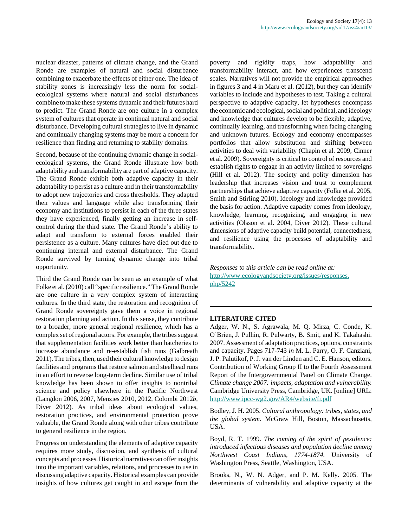nuclear disaster, patterns of climate change, and the Grand Ronde are examples of natural and social disturbance combining to exacerbate the effects of either one. The idea of stability zones is increasingly less the norm for socialecological systems where natural and social disturbances combine to make these systems dynamic and their futures hard to predict. The Grand Ronde are one culture in a complex system of cultures that operate in continual natural and social disturbance. Developing cultural strategies to live in dynamic and continually changing systems may be more a concern for resilience than finding and returning to stability domains.

Second, because of the continuing dynamic change in socialecological systems, the Grand Ronde illustrate how both adaptability and transformability are part of adaptive capacity. The Grand Ronde exhibit both adaptive capacity in their adaptability to persist as a culture and in their transformability to adopt new trajectories and cross thresholds. They adapted their values and language while also transforming their economy and institutions to persist in each of the three states they have experienced, finally getting an increase in selfcontrol during the third state. The Grand Ronde's ability to adapt and transform to external forces enabled their persistence as a culture. Many cultures have died out due to continuing internal and external disturbance. The Grand Ronde survived by turning dynamic change into tribal opportunity.

Third the Grand Ronde can be seen as an example of what Folke et al. (2010) call "specific resilience." The Grand Ronde are one culture in a very complex system of interacting cultures. In the third state, the restoration and recognition of Grand Ronde sovereignty gave them a voice in regional restoration planning and action. In this sense, they contribute to a broader, more general regional resilience, which has a complex set of regional actors. For example, the tribes suggest that supplementation facilities work better than hatcheries to increase abundance and re-establish fish runs (Galbreath 2011). The tribes, then, used their cultural knowledge to design facilities and programs that restore salmon and steelhead runs in an effort to reverse long-term decline. Similar use of tribal knowledge has been shown to offer insights to nontribal science and policy elsewhere in the Pacific Northwest (Langdon 2006, 2007, Menzies 2010, 2012, Colombi 2012*b*, Diver 2012). As tribal ideas about ecological values, restoration practices, and environmental protection prove valuable, the Grand Ronde along with other tribes contribute to general resilience in the region.

Progress on understanding the elements of adaptive capacity requires more study, discussion, and synthesis of cultural concepts and processes. Historical narratives can offer insights into the important variables, relations, and processes to use in discussing adaptive capacity. Historical examples can provide insights of how cultures get caught in and escape from the poverty and rigidity traps, how adaptability and transformability interact, and how experiences transcend scales. Narratives will not provide the empirical approaches in figures 3 and 4 in Maru et al. (2012), but they can identify variables to include and hypotheses to test. Taking a cultural perspective to adaptive capacity, let hypotheses encompass the economic and ecological, social and political, and ideology and knowledge that cultures develop to be flexible, adaptive, continually learning, and transforming when facing changing and unknown futures. Ecology and economy encompasses portfolios that allow substitution and shifting between activities to deal with variability (Chapin et al. 2009, Cinner et al. 2009). Sovereignty is critical to control of resources and establish rights to engage in an activity limited to sovereigns (Hill et al. 2012). The society and polity dimension has leadership that increases vision and trust to complement partnerships that achieve adaptive capacity (Folke et al. 2005, Smith and Stirling 2010). Ideology and knowledge provided the basis for action. Adaptive capacity comes from ideology, knowledge, learning, recognizing, and engaging in new activities (Olsson et al. 2004, Diver 2012). These cultural dimensions of adaptive capacity build potential, connectedness, and resilience using the processes of adaptability and transformability.

*Responses to this article can be read online at:* [http://www.ecologyandsociety.org/issues/responses.](http://www.ecologyandsociety.org/issues/responses.php/5242) [php/5242](http://www.ecologyandsociety.org/issues/responses.php/5242)

### **LITERATURE CITED**

Adger, W. N., S. Agrawala, M. Q. Mirza, C. Conde, K. O'Brien, J. Pulhin, R. Pulwarty, B. Smit, and K. Takahashi. 2007. Assessment of adaptation practices, options, constraints and capacity. Pages 717-743 *in* M. L. Parry, O. F. Canziani, J. P. Palutikof, P. J. van der Linden and C. E. Hanson, editors. Contribution of Working Group II to the Fourth Assessment Report of the Intergovernmental Panel on Climate Change. *Climate change 2007: impacts, adaptation and vulnerability.* Cambridge University Press, Cambridge, UK. [online] URL: <http://www.ipcc-wg2.gov/AR4/website/fi.pdf>

Bodley, J. H. 2005. *Cultural anthropology: tribes, states, and the global system*. McGraw Hill, Boston, Massachusetts, USA.

Boyd, R. T. 1999. *The coming of the spirit of pestilence: introduced infectious diseases and population decline among Northwest Coast Indians, 1774-1874.* University of Washington Press, Seattle, Washington, USA.

Brooks, N., W. N. Adger, and P. M. Kelly. 2005. The determinants of vulnerability and adaptive capacity at the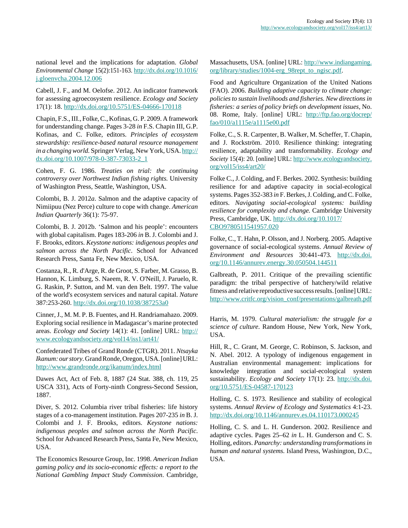national level and the implications for adaptation. *Global Environmental Change* 15(2):151-163. [http://dx.doi.org/10.1016/](http://dx.doi.org/10.1016/j.gloenvcha.2004.12.006) [j.gloenvcha.2004.12.006](http://dx.doi.org/10.1016/j.gloenvcha.2004.12.006)

Cabell, J. F., and M. Oelofse. 2012. An indicator framework for assessing agroecosystem resilience. *Ecology and Society* 17(1): 18. <http://dx.doi.org/10.5751/ES-04666-170118>

Chapin, F.S., III., Folke, C., Kofinas, G. P. 2009. A framework for understanding change. Pages 3-28 *in* F.S. Chapin III, G.P. Kofinas, and C. Folke, editors. *Principles of ecosystem stewardship: resilience-based natural resource management in a changing world.* Springer Verlag, New York, USA. [http://](http://dx.doi.org/10.1007/978-0-387-73033-2_1) [dx.doi.org/10.1007/978-0-387-73033-2\\_1](http://dx.doi.org/10.1007/978-0-387-73033-2_1)

Cohen, F. G. 1986. *Treaties on trial: the continuing controversy over Northwest Indian fishing rights.* University of Washington Press, Seattle, Washington, USA.

Colombi, B. J. 2012*a*. Salmon and the adaptive capacity of Nimiipuu (Nez Perce) culture to cope with change. *American Indian Quarterly* 36(1): 75-97.

Colombi, B. J. 2012b. 'Salmon and his people': encounters with global capitalism. Pages 183-206 *in* B. J. Colombi and J. F. Brooks, editors. *Keystone nations: indigenous peoples and salmon across the North Pacific*. School for Advanced Research Press, Santa Fe, New Mexico, USA.

Costanza, R., R. d'Arge, R. de Groot, S. Farber, M. Grasso, B. Hannon, K. Limburg, S. Naeem, R. V. O'Neill, J. Paruelo, R. G. Raskin, P. Sutton, and M. van den Belt. 1997. The value of the world's ecosystem services and natural capital. *Nature* 387:253-260.<http://dx.doi.org/10.1038/387253a0>

Cinner, J., M. M. P. B. Fuentes, and H. Randriamahazo. 2009. Exploring social resilience in Madagascar's marine protected areas. *Ecology and Society* 14(1): 41. [online] URL: [http://](http://www.ecologyandsociety.org/vol14/iss1/art41/) [www.ecologyandsociety.org/vol14/iss1/art41/](http://www.ecologyandsociety.org/vol14/iss1/art41/)

Confederated Tribes of Grand Ronde (CTGR). 2011. *Ntsayka Ikanum: our story*. Grand Ronde, Oregon, USA. [online] URL: <http://www.grandronde.org/ikanum/index.html>

Dawes Act, Act of Feb. 8, 1887 (24 Stat. 388, ch. 119, 25 USCA 331), Acts of Forty-ninth Congress-Second Session, 1887.

Diver, S. 2012. Columbia river tribal fisheries: life history stages of a co-management institution. Pages 207-235 *in* B. J. Colombi and J. F. Brooks, editors. *Keystone nations: indigenous peoples and salmon across the North Pacific*. School for Advanced Research Press, Santa Fe, New Mexico, USA.

The Economics Resource Group, Inc. 1998. *American Indian gaming policy and its socio-economic effects: a report to the National Gambling Impact Study Commission*. Cambridge, Massachusetts, USA. [online] URL: [http://www.indiangaming.](http://www.indiangaming.org/library/studies/1004-erg_98rept_to_ngisc.pdf) [org/library/studies/1004-erg\\_98rept\\_to\\_ngisc.pdf](http://www.indiangaming.org/library/studies/1004-erg_98rept_to_ngisc.pdf).

Food and Agriculture Organization of the United Nations (FAO). 2006. *Building adaptive capacity to climate change: policies to sustain livelihoods and fisheries. New directions in fisheries: a series of policy briefs on development issues,* No. 08. Rome, Italy. [online] URL: [http://ftp.fao.org/docrep/](http://ftp.fao.org/docrep/fao/010/a1115e/a1115e00.pdf) [fao/010/a1115e/a1115e00.pdf](http://ftp.fao.org/docrep/fao/010/a1115e/a1115e00.pdf)

Folke, C., S. R. Carpenter, B. Walker, M. Scheffer, T. Chapin, and J. Rockström. 2010. Resilience thinking: integrating resilience, adaptability and transformability. *Ecology and Society* 15(4): 20. [online] URL: [http://www.ecologyandsociety.](http://www.ecologyandsociety.org/vol15/iss4/art20/) [org/vol15/iss4/art20/](http://www.ecologyandsociety.org/vol15/iss4/art20/)

Folke C., J. Colding, and F. Berkes. 2002. Synthesis: building resilience for and adaptive capacity in social-ecological systems. Pages 352-383 *in* F. Berkes, J. Colding, and C. Folke, editors. *Navigating social-ecological systems: building resilience for complexity and change.* Cambridge University Press, Cambridge, UK. [http://dx.doi.org/10.1017/](http://dx.doi.org/10.1017/CBO9780511541957.020) [CBO9780511541957.020](http://dx.doi.org/10.1017/CBO9780511541957.020)

Folke, C., T. Hahn, P. Olsson, and J. Norberg. 2005. Adaptive governance of social-ecological systems. *Annual Review of Environment and Resources* 30:441-473. [http://dx.doi.](http://dx.doi.org/10.1146/annurev.energy.30.050504.144511) [org/10.1146/annurev.energy.30.050504.144511](http://dx.doi.org/10.1146/annurev.energy.30.050504.144511)

Galbreath, P. 2011. Critique of the prevailing scientific paradigm: the tribal perspective of hatchery/wild relative fitness and relative reproductive success results. [online] URL: [http://www.critfc.org/vision\\_conf/presentations/galbreath.pdf](http://www.critfc.org/vision_conf/presentations/galbreath.pdf)

Harris, M. 1979. *Cultural materialism: the struggle for a science of culture*. Random House, New York, New York, USA.

Hill, R., C. Grant, M. George, C. Robinson, S. Jackson, and N. Abel. 2012. A typology of indigenous engagement in Australian environmental management: implications for knowledge integration and social-ecological system sustainability. *Ecology and Society* 17(1): 23. [http://dx.doi.](http://dx.doi.org/10.5751/ES-04587-170123) [org/10.5751/ES-04587-170123](http://dx.doi.org/10.5751/ES-04587-170123) 

Holling, C. S. 1973. Resilience and stability of ecological systems. *Annual Review of Ecology and Systematics* 4:1-23. <http://dx.doi.org/10.1146/annurev.es.04.110173.000245>

Holling, C. S. and L. H. Gunderson. 2002. Resilience and adaptive cycles. Pages 25–62 *in* L. H. Gunderson and C. S. Holling, editors. *Panarchy: understanding transformations in human and natural systems.* Island Press, Washington, D.C., USA.